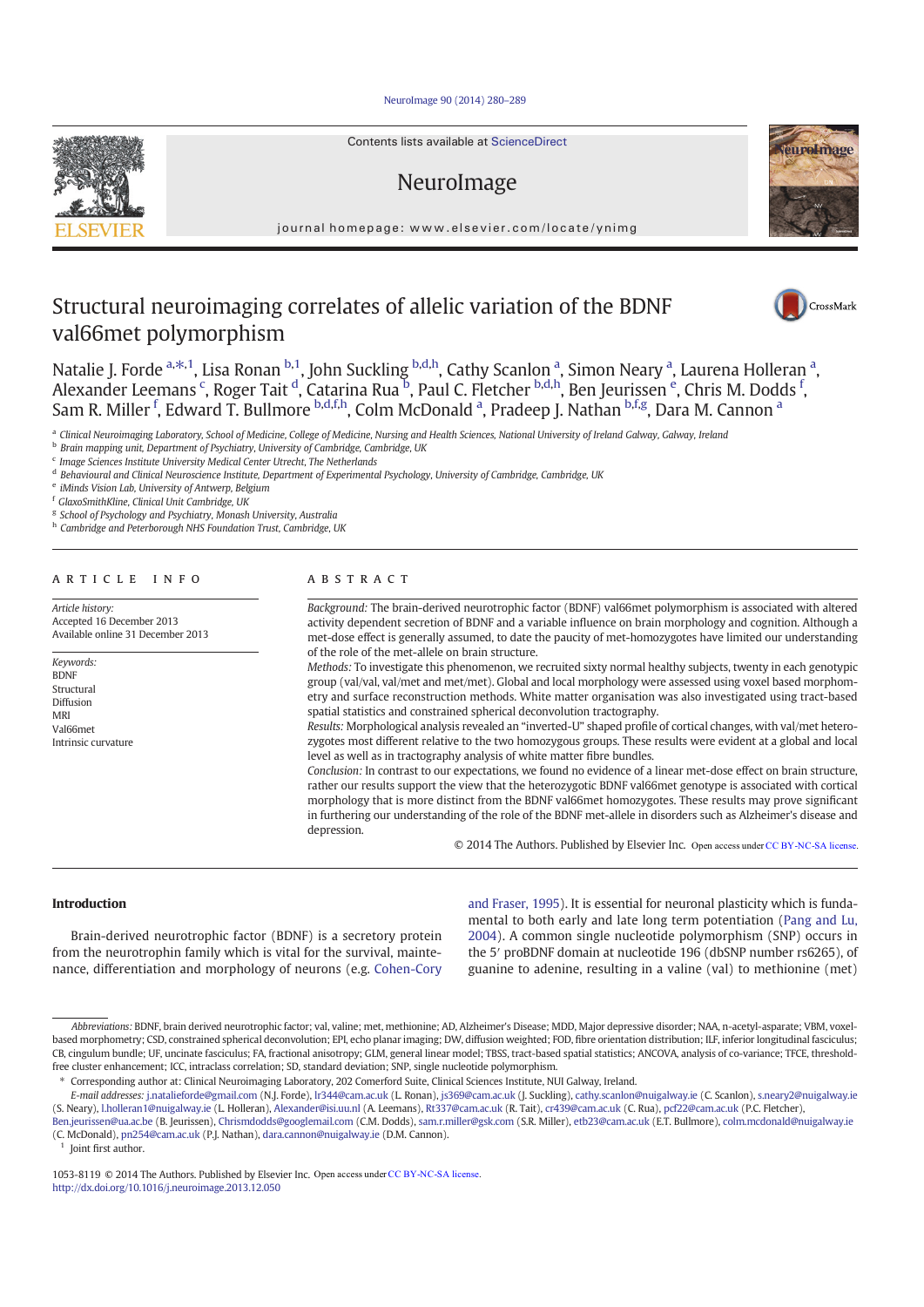NeuroImage 90 (2014) 280–289



Contents lists available at ScienceDirect

## NeuroImage

journal homepage: www.elsevier.com/locate/ynimg

# Structural neuroimaging correlates of allelic variation of the BDNF val66met polymorphism





Natalie J. Forde <sup>a, $\ast$ ,1, Lisa Ronan <sup>b,1</sup>, John Suckling <sup>b,d,h</sup>, Cathy Scanlon <sup>a</sup>, Simon Neary <sup>a</sup>, Laurena Holleran <sup>a</sup>,</sup> Alexander Leemans <sup>c</sup>, Roger Tait <sup>d</sup>, Catarina Rua <sup>b</sup>, Paul C. Fletcher b,d,h, Ben Jeurissen <sup>e</sup>, Chris M. Dodds <sup>f</sup>, Sam R. Miller <sup>f</sup>, Edward T. Bullmore <sup>b,d,f,h</sup>, Colm McDonald <sup>a</sup>, Pradeep J. Nathan <sup>b,f,g</sup>, Dara M. Cannon <sup>a</sup>

a Clinical Neuroimaging Laboratory, School of Medicine, College of Medicine, Nursing and Health Sciences, National University of Ireland Galway, Galway, Ireland

**b** Brain mapping unit, Department of Psychiatry, University of Cambridge, Cambridge, UK

<sup>c</sup> Image Sciences Institute University Medical Center Utrecht, The Netherlands

<sup>d</sup> Behavioural and Clinical Neuroscience Institute, Department of Experimental Psychology, University of Cambridge, Cambridge, UK

<sup>e</sup> iMinds Vision Lab, University of Antwerp, Belgium

<sup>f</sup> GlaxoSmithKline, Clinical Unit Cambridge, UK

<sup>g</sup> School of Psychology and Psychiatry, Monash University, Australia

h Cambridge and Peterborough NHS Foundation Trust, Cambridge, UK

#### article info abstract

Article history: Accepted 16 December 2013 Available online 31 December 2013

Keywords: **BDNF** Structural Diffusion MRI Val66met Intrinsic curvature

Background: The brain-derived neurotrophic factor (BDNF) val66met polymorphism is associated with altered activity dependent secretion of BDNF and a variable influence on brain morphology and cognition. Although a met-dose effect is generally assumed, to date the paucity of met-homozygotes have limited our understanding of the role of the met-allele on brain structure.

Methods: To investigate this phenomenon, we recruited sixty normal healthy subjects, twenty in each genotypic group (val/val, val/met and met/met). Global and local morphology were assessed using voxel based morphometry and surface reconstruction methods. White matter organisation was also investigated using tract-based spatial statistics and constrained spherical deconvolution tractography.

Results: Morphological analysis revealed an "inverted-U" shaped profile of cortical changes, with val/met heterozygotes most different relative to the two homozygous groups. These results were evident at a global and local level as well as in tractography analysis of white matter fibre bundles.

Conclusion: In contrast to our expectations, we found no evidence of a linear met-dose effect on brain structure, rather our results support the view that the heterozygotic BDNF val66met genotype is associated with cortical morphology that is more distinct from the BDNF val66met homozygotes. These results may prove significant in furthering our understanding of the role of the BDNF met-allele in disorders such as Alzheimer's disease and depression.

© 2014 The Authors. Published by Elsevier Inc. Open access under CC BY-NC-SA license.

#### Introduction

Brain-derived neurotrophic factor (BDNF) is a secretory protein from the neurotrophin family which is vital for the survival, maintenance, differentiation and morphology of neurons (e.g. Cohen-Cory and Fraser, 1995). It is essential for neuronal plasticity which is fundamental to both early and late long term potentiation (Pang and Lu, 2004). A common single nucleotide polymorphism (SNP) occurs in the 5′ proBDNF domain at nucleotide 196 (dbSNP number rs6265), of guanine to adenine, resulting in a valine (val) to methionine (met)

Ben.jeurissen@ua.ac.be (B. Jeurissen), Chrismdodds@googlemail.com (C.M. Dodds), sam.r.miller@gsk.com (S.R. Miller), etb23@cam.ac.uk (E.T. Bullmore), colm.mcdonald@nuigalway.ie (C. McDonald), pn254@cam.ac.uk (P.J. Nathan), dara.cannon@nuigalway.ie (D.M. Cannon). <sup>1</sup> Joint first author.

Abbreviations: BDNF, brain derived neurotrophic factor; val, valine; met, methionine; AD, Alzheimer's Disease; MDD, Major depressive disorder; NAA, n-acetyl-asparate; VBM, voxelbased morphometry; CSD, constrained spherical deconvolution; EPI, echo planar imaging; DW, diffusion weighted; FOD, fibre orientation distribution; ILF, inferior longitudinal fasciculus; CB, cingulum bundle; UF, uncinate fasciculus; FA, fractional anisotropy; GLM, general linear model; TBSS, tract-based spatial statistics; ANCOVA, analysis of co-variance; TFCE, thresholdfree cluster enhancement; ICC, intraclass correlation; SD, standard deviation; SNP, single nucleotide polymorphism.

<sup>⁎</sup> Corresponding author at: Clinical Neuroimaging Laboratory, 202 Comerford Suite, Clinical Sciences Institute, NUI Galway, Ireland.

E-mail addresses: j.natalieforde@gmail.com (N.J. Forde), lr344@cam.ac.uk (L. Ronan), js369@cam.ac.uk (J. Suckling), cathy.scanlon@nuigalway.ie (C. Scanlon), s.neary2@nuigalway.ie (S. Neary), l.holleran1@nuigalway.ie (L. Holleran), Alexander@isi.uu.nl (A. Leemans), Rt337@cam.ac.uk (R. Tait), cr439@cam.ac.uk (C. Rua), pcf22@cam.ac.uk (P.C. Fletcher),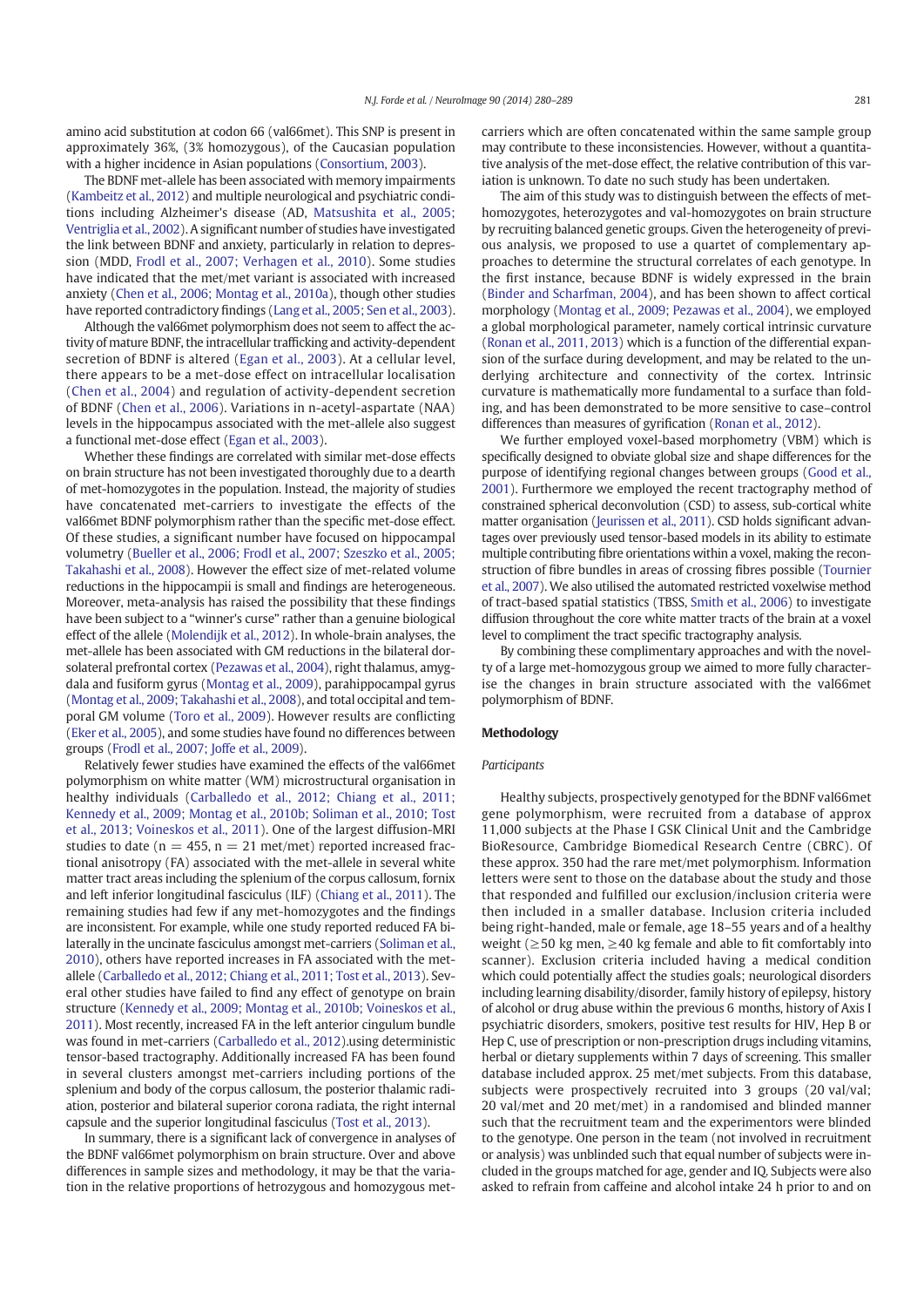amino acid substitution at codon 66 (val66met). This SNP is present in approximately 36%, (3% homozygous), of the Caucasian population with a higher incidence in Asian populations (Consortium, 2003).

The BDNF met-allele has been associated with memory impairments (Kambeitz et al., 2012) and multiple neurological and psychiatric conditions including Alzheimer's disease (AD, Matsushita et al., 2005; Ventriglia et al., 2002). A significant number of studies have investigated the link between BDNF and anxiety, particularly in relation to depression (MDD, Frodl et al., 2007; Verhagen et al., 2010). Some studies have indicated that the met/met variant is associated with increased anxiety (Chen et al., 2006; Montag et al., 2010a), though other studies have reported contradictory findings (Lang et al., 2005; Sen et al., 2003).

Although the val66met polymorphism does not seem to affect the activity of mature BDNF, the intracellular trafficking and activity-dependent secretion of BDNF is altered (Egan et al., 2003). At a cellular level, there appears to be a met-dose effect on intracellular localisation (Chen et al., 2004) and regulation of activity-dependent secretion of BDNF (Chen et al., 2006). Variations in n-acetyl-aspartate (NAA) levels in the hippocampus associated with the met-allele also suggest a functional met-dose effect (Egan et al., 2003).

Whether these findings are correlated with similar met-dose effects on brain structure has not been investigated thoroughly due to a dearth of met-homozygotes in the population. Instead, the majority of studies have concatenated met-carriers to investigate the effects of the val66met BDNF polymorphism rather than the specific met-dose effect. Of these studies, a significant number have focused on hippocampal volumetry (Bueller et al., 2006; Frodl et al., 2007; Szeszko et al., 2005; Takahashi et al., 2008). However the effect size of met-related volume reductions in the hippocampii is small and findings are heterogeneous. Moreover, meta-analysis has raised the possibility that these findings have been subject to a "winner's curse" rather than a genuine biological effect of the allele (Molendijk et al., 2012). In whole-brain analyses, the met-allele has been associated with GM reductions in the bilateral dorsolateral prefrontal cortex (Pezawas et al., 2004), right thalamus, amygdala and fusiform gyrus (Montag et al., 2009), parahippocampal gyrus (Montag et al., 2009; Takahashi et al., 2008), and total occipital and temporal GM volume (Toro et al., 2009). However results are conflicting (Eker et al., 2005), and some studies have found no differences between groups (Frodl et al., 2007; Joffe et al., 2009).

Relatively fewer studies have examined the effects of the val66met polymorphism on white matter (WM) microstructural organisation in healthy individuals (Carballedo et al., 2012; Chiang et al., 2011; Kennedy et al., 2009; Montag et al., 2010b; Soliman et al., 2010; Tost et al., 2013; Voineskos et al., 2011). One of the largest diffusion-MRI studies to date ( $n = 455$ ,  $n = 21$  met/met) reported increased fractional anisotropy (FA) associated with the met-allele in several white matter tract areas including the splenium of the corpus callosum, fornix and left inferior longitudinal fasciculus (ILF) (Chiang et al., 2011). The remaining studies had few if any met-homozygotes and the findings are inconsistent. For example, while one study reported reduced FA bilaterally in the uncinate fasciculus amongst met-carriers (Soliman et al., 2010), others have reported increases in FA associated with the metallele (Carballedo et al., 2012; Chiang et al., 2011; Tost et al., 2013). Several other studies have failed to find any effect of genotype on brain structure (Kennedy et al., 2009; Montag et al., 2010b; Voineskos et al., 2011). Most recently, increased FA in the left anterior cingulum bundle was found in met-carriers (Carballedo et al., 2012).using deterministic tensor-based tractography. Additionally increased FA has been found in several clusters amongst met-carriers including portions of the splenium and body of the corpus callosum, the posterior thalamic radiation, posterior and bilateral superior corona radiata, the right internal capsule and the superior longitudinal fasciculus (Tost et al., 2013).

In summary, there is a significant lack of convergence in analyses of the BDNF val66met polymorphism on brain structure. Over and above differences in sample sizes and methodology, it may be that the variation in the relative proportions of hetrozygous and homozygous metcarriers which are often concatenated within the same sample group may contribute to these inconsistencies. However, without a quantitative analysis of the met-dose effect, the relative contribution of this variation is unknown. To date no such study has been undertaken.

The aim of this study was to distinguish between the effects of methomozygotes, heterozygotes and val-homozygotes on brain structure by recruiting balanced genetic groups. Given the heterogeneity of previous analysis, we proposed to use a quartet of complementary approaches to determine the structural correlates of each genotype. In the first instance, because BDNF is widely expressed in the brain (Binder and Scharfman, 2004), and has been shown to affect cortical morphology (Montag et al., 2009; Pezawas et al., 2004), we employed a global morphological parameter, namely cortical intrinsic curvature (Ronan et al., 2011, 2013) which is a function of the differential expansion of the surface during development, and may be related to the underlying architecture and connectivity of the cortex. Intrinsic curvature is mathematically more fundamental to a surface than folding, and has been demonstrated to be more sensitive to case–control differences than measures of gyrification (Ronan et al., 2012).

We further employed voxel-based morphometry (VBM) which is specifically designed to obviate global size and shape differences for the purpose of identifying regional changes between groups (Good et al., 2001). Furthermore we employed the recent tractography method of constrained spherical deconvolution (CSD) to assess, sub-cortical white matter organisation (Jeurissen et al., 2011). CSD holds significant advantages over previously used tensor-based models in its ability to estimate multiple contributing fibre orientations within a voxel, making the reconstruction of fibre bundles in areas of crossing fibres possible (Tournier et al., 2007). We also utilised the automated restricted voxelwise method of tract-based spatial statistics (TBSS, Smith et al., 2006) to investigate diffusion throughout the core white matter tracts of the brain at a voxel level to compliment the tract specific tractography analysis.

By combining these complimentary approaches and with the novelty of a large met-homozygous group we aimed to more fully characterise the changes in brain structure associated with the val66met polymorphism of BDNF.

### Methodology

#### Participants

Healthy subjects, prospectively genotyped for the BDNF val66met gene polymorphism, were recruited from a database of approx 11,000 subjects at the Phase I GSK Clinical Unit and the Cambridge BioResource, Cambridge Biomedical Research Centre (CBRC). Of these approx. 350 had the rare met/met polymorphism. Information letters were sent to those on the database about the study and those that responded and fulfilled our exclusion/inclusion criteria were then included in a smaller database. Inclusion criteria included being right-handed, male or female, age 18–55 years and of a healthy weight ( $\geq$  50 kg men,  $\geq$  40 kg female and able to fit comfortably into scanner). Exclusion criteria included having a medical condition which could potentially affect the studies goals; neurological disorders including learning disability/disorder, family history of epilepsy, history of alcohol or drug abuse within the previous 6 months, history of Axis I psychiatric disorders, smokers, positive test results for HIV, Hep B or Hep C, use of prescription or non-prescription drugs including vitamins, herbal or dietary supplements within 7 days of screening. This smaller database included approx. 25 met/met subjects. From this database, subjects were prospectively recruited into 3 groups (20 val/val; 20 val/met and 20 met/met) in a randomised and blinded manner such that the recruitment team and the experimentors were blinded to the genotype. One person in the team (not involved in recruitment or analysis) was unblinded such that equal number of subjects were included in the groups matched for age, gender and IQ. Subjects were also asked to refrain from caffeine and alcohol intake 24 h prior to and on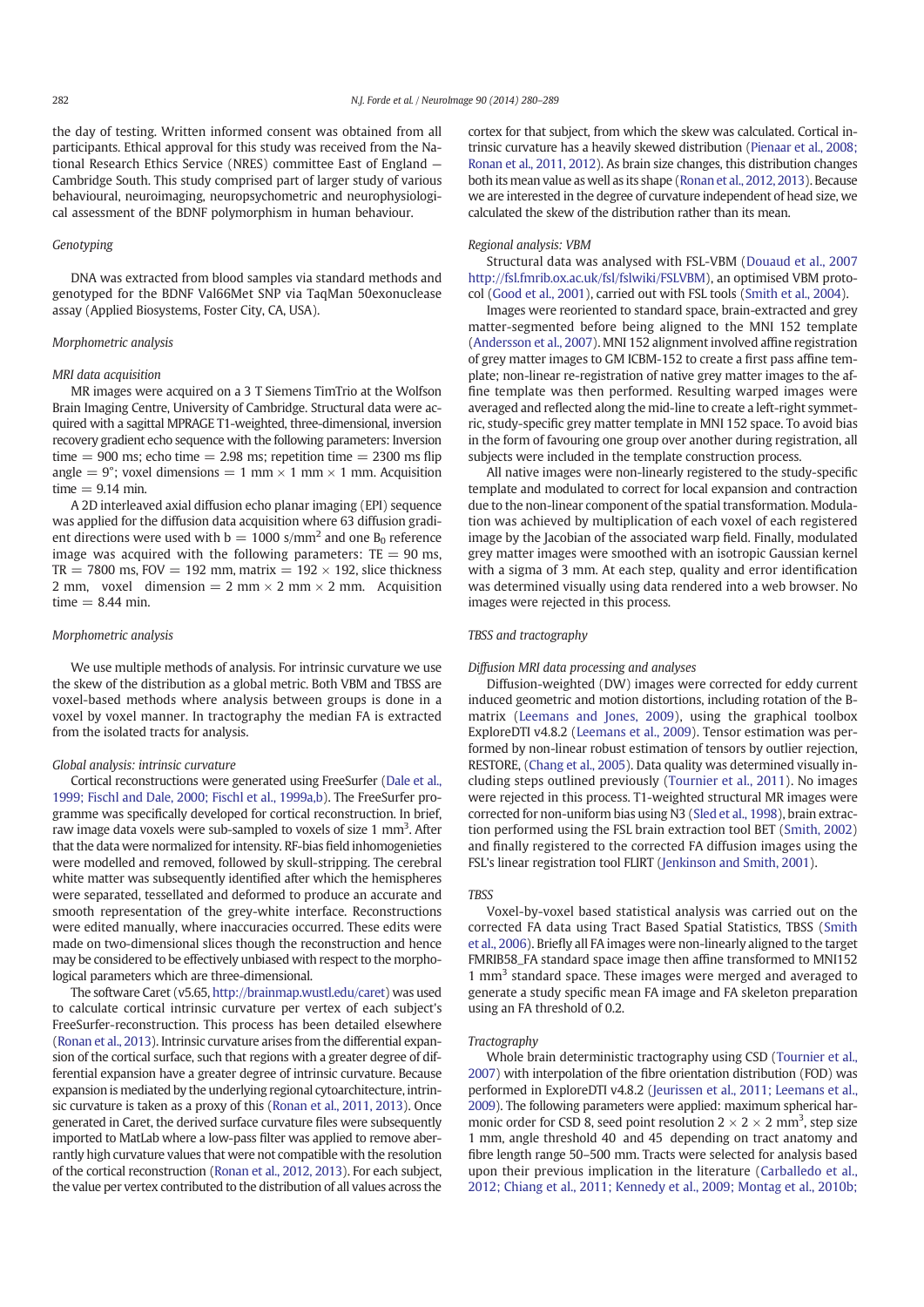the day of testing. Written informed consent was obtained from all participants. Ethical approval for this study was received from the National Research Ethics Service (NRES) committee East of England — Cambridge South. This study comprised part of larger study of various behavioural, neuroimaging, neuropsychometric and neurophysiological assessment of the BDNF polymorphism in human behaviour.

#### Genotyping

DNA was extracted from blood samples via standard methods and genotyped for the BDNF Val66Met SNP via TaqMan 50exonuclease assay (Applied Biosystems, Foster City, CA, USA).

#### Morphometric analysis

#### MRI data acquisition

MR images were acquired on a 3 T Siemens TimTrio at the Wolfson Brain Imaging Centre, University of Cambridge. Structural data were acquired with a sagittal MPRAGE T1-weighted, three-dimensional, inversion recovery gradient echo sequence with the following parameters: Inversion time  $= 900$  ms; echo time  $= 2.98$  ms; repetition time  $= 2300$  ms flip angle =  $9^\circ$ ; voxel dimensions = 1 mm  $\times$  1 mm  $\times$  1 mm. Acquisition  $time = 9.14$  min.

A 2D interleaved axial diffusion echo planar imaging (EPI) sequence was applied for the diffusion data acquisition where 63 diffusion gradient directions were used with  $b = 1000$  s/mm<sup>2</sup> and one B<sub>0</sub> reference image was acquired with the following parameters:  $TE = 90$  ms,  $TR = 7800$  ms,  $FOV = 192$  mm, matrix  $= 192 \times 192$ , slice thickness 2 mm, voxel dimension = 2 mm  $\times$  2 mm  $\times$  2 mm. Acquisition  $time = 8.44$  min.

#### Morphometric analysis

We use multiple methods of analysis. For intrinsic curvature we use the skew of the distribution as a global metric. Both VBM and TBSS are voxel-based methods where analysis between groups is done in a voxel by voxel manner. In tractography the median FA is extracted from the isolated tracts for analysis.

#### Global analysis: intrinsic curvature

Cortical reconstructions were generated using FreeSurfer (Dale et al., 1999; Fischl and Dale, 2000; Fischl et al., 1999a,b). The FreeSurfer programme was specifically developed for cortical reconstruction. In brief, raw image data voxels were sub-sampled to voxels of size 1 mm<sup>3</sup>. After that the data were normalized for intensity. RF-bias field inhomogenieties were modelled and removed, followed by skull-stripping. The cerebral white matter was subsequently identified after which the hemispheres were separated, tessellated and deformed to produce an accurate and smooth representation of the grey-white interface. Reconstructions were edited manually, where inaccuracies occurred. These edits were made on two-dimensional slices though the reconstruction and hence may be considered to be effectively unbiased with respect to the morphological parameters which are three-dimensional.

The software Caret (v5.65, http://brainmap.wustl.edu/caret) was used to calculate cortical intrinsic curvature per vertex of each subject's FreeSurfer-reconstruction. This process has been detailed elsewhere (Ronan et al., 2013). Intrinsic curvature arises from the differential expansion of the cortical surface, such that regions with a greater degree of differential expansion have a greater degree of intrinsic curvature. Because expansion is mediated by the underlying regional cytoarchitecture, intrinsic curvature is taken as a proxy of this (Ronan et al., 2011, 2013). Once generated in Caret, the derived surface curvature files were subsequently imported to MatLab where a low-pass filter was applied to remove aberrantly high curvature values that were not compatible with the resolution of the cortical reconstruction (Ronan et al., 2012, 2013). For each subject, the value per vertex contributed to the distribution of all values across the cortex for that subject, from which the skew was calculated. Cortical intrinsic curvature has a heavily skewed distribution (Pienaar et al., 2008; Ronan et al., 2011, 2012). As brain size changes, this distribution changes both its mean value as well as its shape (Ronan et al., 2012, 2013). Because we are interested in the degree of curvature independent of head size, we calculated the skew of the distribution rather than its mean.

#### Regional analysis: VBM

Structural data was analysed with FSL-VBM (Douaud et al., 2007 http://fsl.fmrib.ox.ac.uk/fsl/fslwiki/FSLVBM), an optimised VBM protocol (Good et al., 2001), carried out with FSL tools (Smith et al., 2004).

Images were reoriented to standard space, brain-extracted and grey matter-segmented before being aligned to the MNI 152 template (Andersson et al., 2007). MNI 152 alignment involved affine registration of grey matter images to GM ICBM-152 to create a first pass affine template; non-linear re-registration of native grey matter images to the affine template was then performed. Resulting warped images were averaged and reflected along the mid-line to create a left-right symmetric, study-specific grey matter template in MNI 152 space. To avoid bias in the form of favouring one group over another during registration, all subjects were included in the template construction process.

All native images were non-linearly registered to the study-specific template and modulated to correct for local expansion and contraction due to the non-linear component of the spatial transformation. Modulation was achieved by multiplication of each voxel of each registered image by the Jacobian of the associated warp field. Finally, modulated grey matter images were smoothed with an isotropic Gaussian kernel with a sigma of 3 mm. At each step, quality and error identification was determined visually using data rendered into a web browser. No images were rejected in this process.

#### TBSS and tractography

### Diffusion MRI data processing and analyses

Diffusion-weighted (DW) images were corrected for eddy current induced geometric and motion distortions, including rotation of the Bmatrix (Leemans and Jones, 2009), using the graphical toolbox ExploreDTI v4.8.2 (Leemans et al., 2009). Tensor estimation was performed by non-linear robust estimation of tensors by outlier rejection, RESTORE, (Chang et al., 2005). Data quality was determined visually including steps outlined previously (Tournier et al., 2011). No images were rejected in this process. T1-weighted structural MR images were corrected for non-uniform bias using N3 (Sled et al., 1998), brain extraction performed using the FSL brain extraction tool BET (Smith, 2002) and finally registered to the corrected FA diffusion images using the FSL's linear registration tool FLIRT (Jenkinson and Smith, 2001).

#### **TRSS**

Voxel-by-voxel based statistical analysis was carried out on the corrected FA data using Tract Based Spatial Statistics, TBSS (Smith et al., 2006). Briefly all FA images were non-linearly aligned to the target FMRIB58\_FA standard space image then affine transformed to MNI152  $1 \text{ mm}^3$  standard space. These images were merged and averaged to generate a study specific mean FA image and FA skeleton preparation using an FA threshold of 0.2.

#### Tractography

Whole brain deterministic tractography using CSD (Tournier et al., 2007) with interpolation of the fibre orientation distribution (FOD) was performed in ExploreDTI v4.8.2 (Jeurissen et al., 2011; Leemans et al., 2009). The following parameters were applied: maximum spherical harmonic order for CSD 8, seed point resolution  $2 \times 2 \times 2$  mm<sup>3</sup>, step size 1 mm, angle threshold 40 and 45 depending on tract anatomy and fibre length range 50–500 mm. Tracts were selected for analysis based upon their previous implication in the literature (Carballedo et al., 2012; Chiang et al., 2011; Kennedy et al., 2009; Montag et al., 2010b;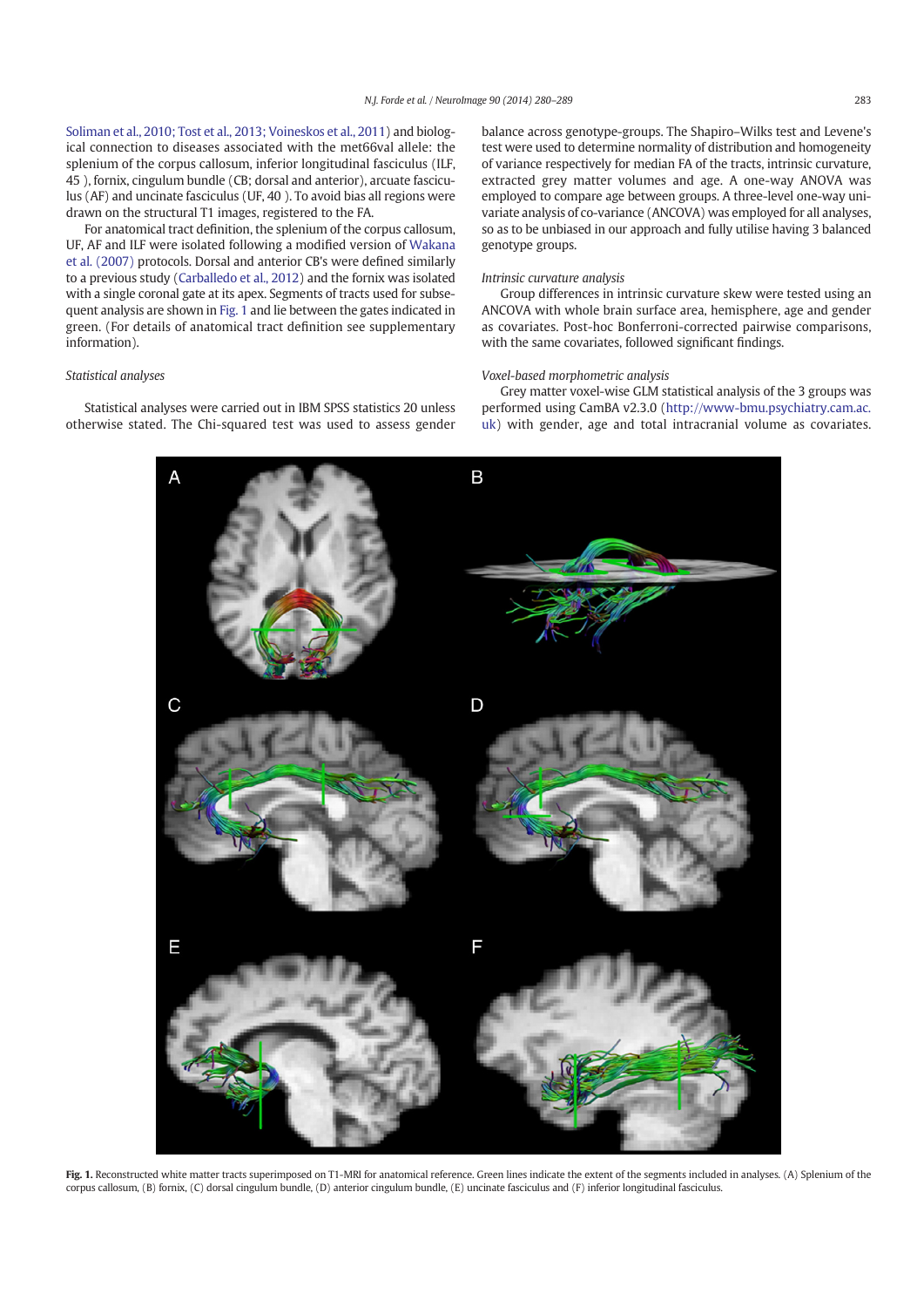Soliman et al., 2010; Tost et al., 2013; Voineskos et al., 2011) and biological connection to diseases associated with the met66val allele: the splenium of the corpus callosum, inferior longitudinal fasciculus (ILF, 45 ), fornix, cingulum bundle (CB; dorsal and anterior), arcuate fasciculus (AF) and uncinate fasciculus (UF, 40 ). To avoid bias all regions were drawn on the structural T1 images, registered to the FA.

For anatomical tract definition, the splenium of the corpus callosum, UF, AF and ILF were isolated following a modified version of Wakana et al. (2007) protocols. Dorsal and anterior CB's were defined similarly to a previous study (Carballedo et al., 2012) and the fornix was isolated with a single coronal gate at its apex. Segments of tracts used for subsequent analysis are shown in Fig. 1 and lie between the gates indicated in green. (For details of anatomical tract definition see supplementary information).

#### Statistical analyses

Statistical analyses were carried out in IBM SPSS statistics 20 unless otherwise stated. The Chi-squared test was used to assess gender balance across genotype-groups. The Shapiro–Wilks test and Levene's test were used to determine normality of distribution and homogeneity of variance respectively for median FA of the tracts, intrinsic curvature, extracted grey matter volumes and age. A one-way ANOVA was employed to compare age between groups. A three-level one-way univariate analysis of co-variance (ANCOVA) was employed for all analyses, so as to be unbiased in our approach and fully utilise having 3 balanced genotype groups.

#### Intrinsic curvature analysis

Group differences in intrinsic curvature skew were tested using an ANCOVA with whole brain surface area, hemisphere, age and gender as covariates. Post-hoc Bonferroni-corrected pairwise comparisons, with the same covariates, followed significant findings.

#### Voxel-based morphometric analysis

Grey matter voxel-wise GLM statistical analysis of the 3 groups was performed using CamBA v2.3.0 (http://www-bmu.psychiatry.cam.ac. uk) with gender, age and total intracranial volume as covariates.



Fig. 1. Reconstructed white matter tracts superimposed on T1-MRI for anatomical reference. Green lines indicate the extent of the segments included in analyses. (A) Splenium of the corpus callosum, (B) fornix, (C) dorsal cingulum bundle, (D) anterior cingulum bundle, (E) uncinate fasciculus and (F) inferior longitudinal fasciculus.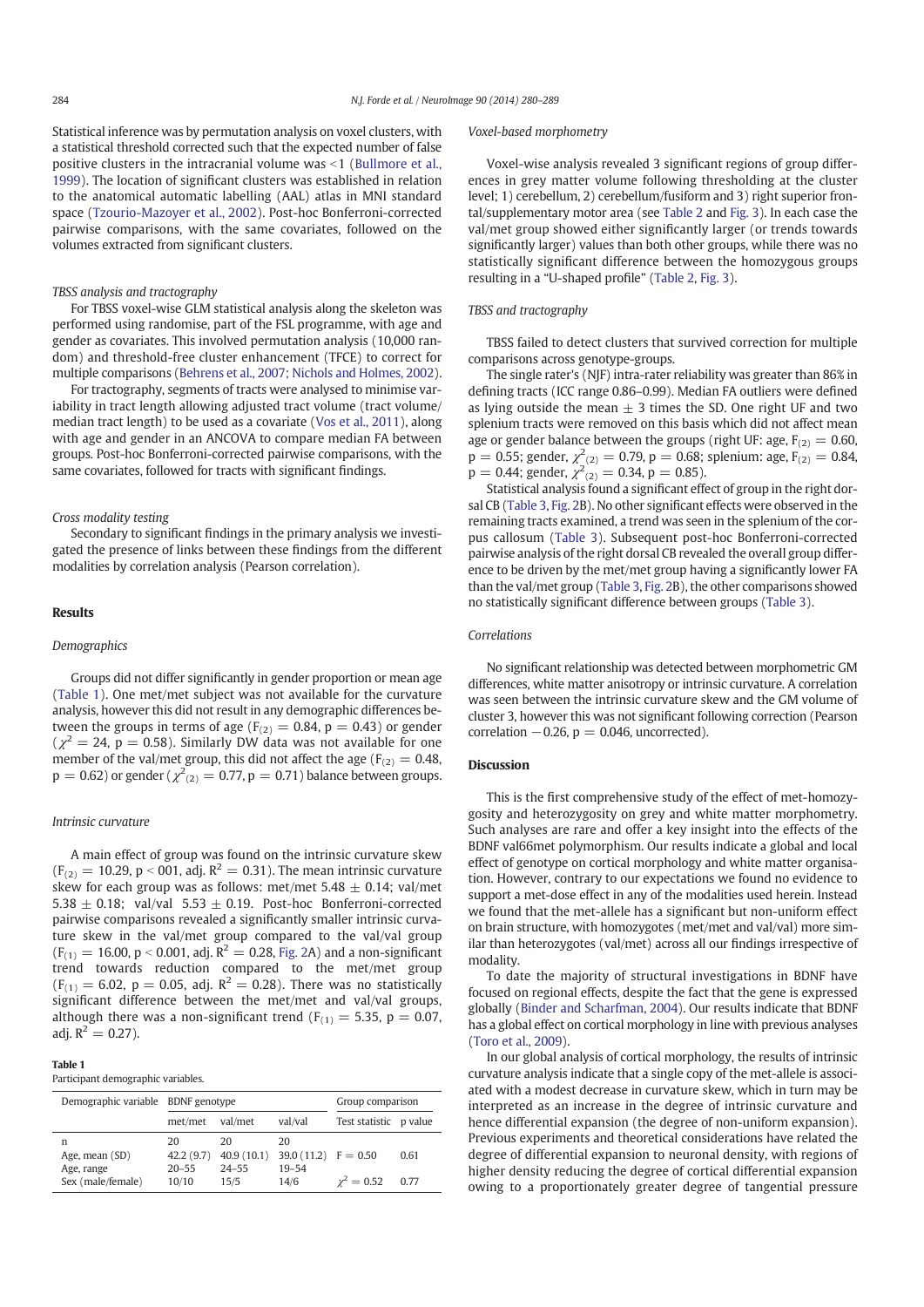Statistical inference was by permutation analysis on voxel clusters, with a statistical threshold corrected such that the expected number of false positive clusters in the intracranial volume was  $\leq 1$  (Bullmore et al., 1999). The location of significant clusters was established in relation to the anatomical automatic labelling (AAL) atlas in MNI standard space (Tzourio-Mazoyer et al., 2002). Post-hoc Bonferroni-corrected pairwise comparisons, with the same covariates, followed on the volumes extracted from significant clusters.

#### TBSS analysis and tractography

For TBSS voxel-wise GLM statistical analysis along the skeleton was performed using randomise, part of the FSL programme, with age and gender as covariates. This involved permutation analysis (10,000 random) and threshold-free cluster enhancement (TFCE) to correct for multiple comparisons (Behrens et al., 2007; Nichols and Holmes, 2002).

For tractography, segments of tracts were analysed to minimise variability in tract length allowing adjusted tract volume (tract volume/ median tract length) to be used as a covariate (Vos et al., 2011), along with age and gender in an ANCOVA to compare median FA between groups. Post-hoc Bonferroni-corrected pairwise comparisons, with the same covariates, followed for tracts with significant findings.

Cross modality testing

Secondary to significant findings in the primary analysis we investigated the presence of links between these findings from the different modalities by correlation analysis (Pearson correlation).

#### Results

#### Demographics

Groups did not differ significantly in gender proportion or mean age (Table 1). One met/met subject was not available for the curvature analysis, however this did not result in any demographic differences between the groups in terms of age ( $F_{(2)} = 0.84$ ,  $p = 0.43$ ) or gender  $(\chi^2 = 24, p = 0.58)$ . Similarly DW data was not available for one member of the val/met group, this did not affect the age ( $F_{(2)} = 0.48$ ,  ${\rm p} = 0.62$ ) or gender ( $\chi^2_{(2)} = 0.77, {\rm p} = 0.71$ ) balance between groups.

#### Intrinsic curvature

A main effect of group was found on the intrinsic curvature skew  $(F_{(2)} = 10.29, p < 001, adj. R^2 = 0.31)$ . The mean intrinsic curvature skew for each group was as follows: met/met  $5.48 \pm 0.14$ ; val/met 5.38  $\pm$  0.18; val/val 5.53  $\pm$  0.19. Post-hoc Bonferroni-corrected pairwise comparisons revealed a significantly smaller intrinsic curvature skew in the val/met group compared to the val/val group  $(F<sub>(1)</sub> = 16.00, p < 0.001, adj. R<sup>2</sup> = 0.28, Fig. 2A)$  and a non-significant trend towards reduction compared to the met/met group  $(F_{(1)} = 6.02, p = 0.05, adj. R<sup>2</sup> = 0.28)$ . There was no statistically significant difference between the met/met and val/val groups, although there was a non-significant trend ( $F_{(1)} = 5.35$ ,  $p = 0.07$ , adj.  $R^2 = 0.27$ ).

#### Table 1

Participant demographic variables.

| Demographic variable              | <b>BDNF</b> genotype         |                 |                                                       | Group comparison       |      |
|-----------------------------------|------------------------------|-----------------|-------------------------------------------------------|------------------------|------|
|                                   | met/met                      | val/met         | val/val                                               | Test statistic p value |      |
| n<br>Age, mean (SD)<br>Age, range | 20<br>42.2(9.7)<br>$20 - 55$ | 20<br>$24 - 55$ | 20<br>40.9 (10.1) 39.0 (11.2) $F = 0.50$<br>$19 - 54$ |                        | 0.61 |
| Sex (male/female)                 | 10/10                        | 15/5            | 14/6                                                  | $\chi^2 = 0.52$        | 0.77 |

### Voxel-based morphometry

Voxel-wise analysis revealed 3 significant regions of group differences in grey matter volume following thresholding at the cluster level; 1) cerebellum, 2) cerebellum/fusiform and 3) right superior frontal/supplementary motor area (see Table 2 and Fig. 3). In each case the val/met group showed either significantly larger (or trends towards significantly larger) values than both other groups, while there was no statistically significant difference between the homozygous groups resulting in a "U-shaped profile" (Table 2, Fig. 3).

#### TBSS and tractography

TBSS failed to detect clusters that survived correction for multiple comparisons across genotype-groups.

The single rater's (NJF) intra-rater reliability was greater than 86% in defining tracts (ICC range 0.86–0.99). Median FA outliers were defined as lying outside the mean  $\pm$  3 times the SD. One right UF and two splenium tracts were removed on this basis which did not affect mean age or gender balance between the groups (right UF: age,  $F_{(2)} = 0.60$ ,  $p = 0.55$ ; gender,  $\chi^2_{(2)} = 0.79$ ,  $p = 0.68$ ; splenium: age,  $F_{(2)} = 0.84$ ,  $p = 0.44$ ; gender,  $\chi^2_{(2)} = 0.34$ ,  $p = 0.85$ ).

Statistical analysis found a significant effect of group in the right dorsal CB (Table 3, Fig. 2B). No other significant effects were observed in the remaining tracts examined, a trend was seen in the splenium of the corpus callosum (Table 3). Subsequent post-hoc Bonferroni-corrected pairwise analysis of the right dorsal CB revealed the overall group difference to be driven by the met/met group having a significantly lower FA than the val/met group (Table 3, Fig. 2B), the other comparisons showed no statistically significant difference between groups (Table 3).

#### Correlations

No significant relationship was detected between morphometric GM differences, white matter anisotropy or intrinsic curvature. A correlation was seen between the intrinsic curvature skew and the GM volume of cluster 3, however this was not significant following correction (Pearson correlation  $-0.26$ ,  $p = 0.046$ , uncorrected).

#### Discussion

This is the first comprehensive study of the effect of met-homozygosity and heterozygosity on grey and white matter morphometry. Such analyses are rare and offer a key insight into the effects of the BDNF val66met polymorphism. Our results indicate a global and local effect of genotype on cortical morphology and white matter organisation. However, contrary to our expectations we found no evidence to support a met-dose effect in any of the modalities used herein. Instead we found that the met-allele has a significant but non-uniform effect on brain structure, with homozygotes (met/met and val/val) more similar than heterozygotes (val/met) across all our findings irrespective of modality.

To date the majority of structural investigations in BDNF have focused on regional effects, despite the fact that the gene is expressed globally (Binder and Scharfman, 2004). Our results indicate that BDNF has a global effect on cortical morphology in line with previous analyses (Toro et al., 2009).

In our global analysis of cortical morphology, the results of intrinsic curvature analysis indicate that a single copy of the met-allele is associated with a modest decrease in curvature skew, which in turn may be interpreted as an increase in the degree of intrinsic curvature and hence differential expansion (the degree of non-uniform expansion). Previous experiments and theoretical considerations have related the degree of differential expansion to neuronal density, with regions of higher density reducing the degree of cortical differential expansion owing to a proportionately greater degree of tangential pressure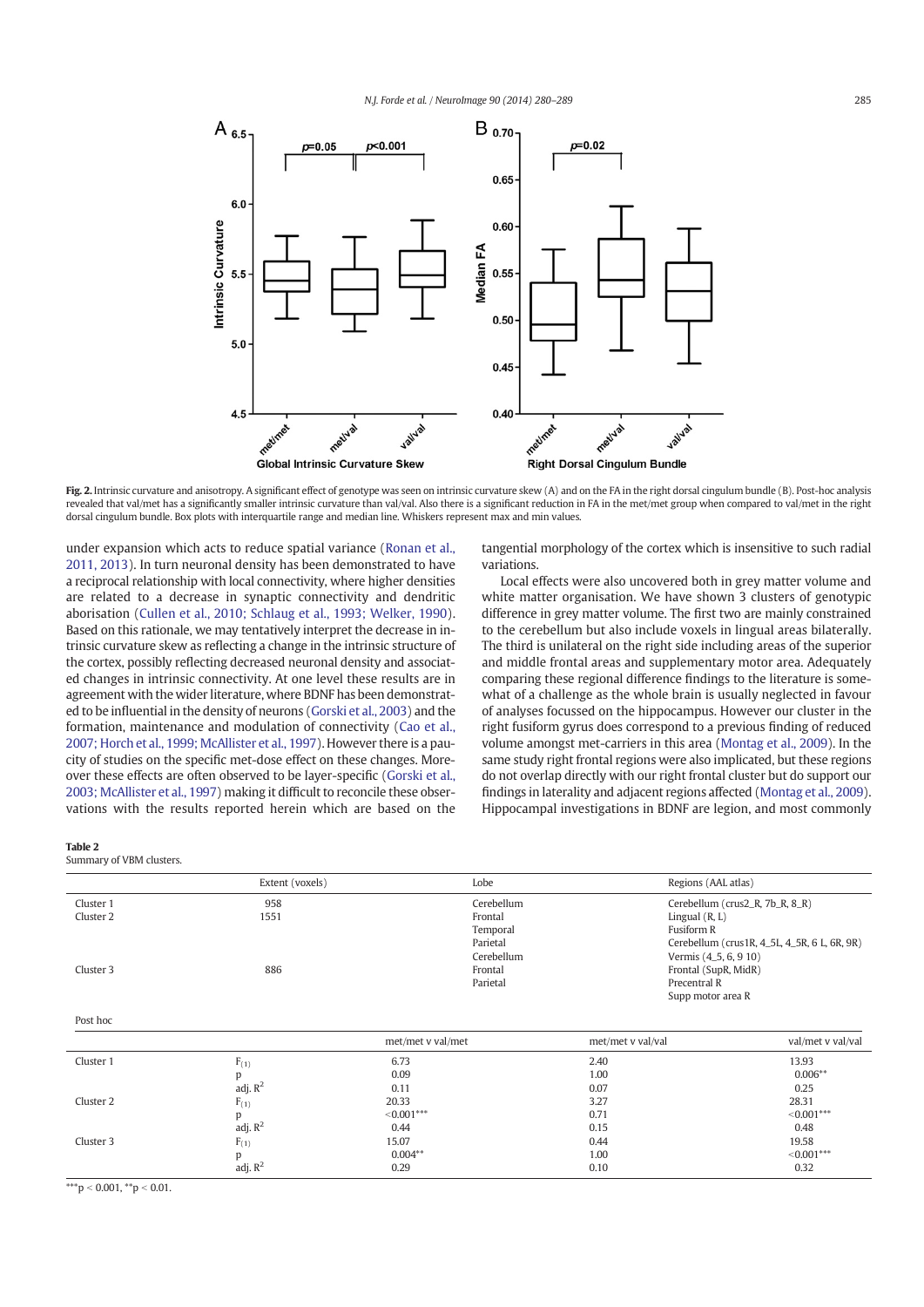

Fig. 2. Intrinsic curvature and anisotropy. A significant effect of genotype was seen on intrinsic curvature skew (A) and on the FA in the right dorsal cingulum bundle (B). Post-hoc analysis revealed that val/met has a significantly smaller intrinsic curvature than val/val. Also there is a significant reduction in FA in the met/met group when compared to val/met in the right dorsal cingulum bundle. Box plots with interquartile range and median line. Whiskers represent max and min values.

under expansion which acts to reduce spatial variance (Ronan et al., 2011, 2013). In turn neuronal density has been demonstrated to have a reciprocal relationship with local connectivity, where higher densities are related to a decrease in synaptic connectivity and dendritic aborisation (Cullen et al., 2010; Schlaug et al., 1993; Welker, 1990). Based on this rationale, we may tentatively interpret the decrease in intrinsic curvature skew as reflecting a change in the intrinsic structure of the cortex, possibly reflecting decreased neuronal density and associated changes in intrinsic connectivity. At one level these results are in agreement with the wider literature, where BDNF has been demonstrated to be influential in the density of neurons (Gorski et al., 2003) and the formation, maintenance and modulation of connectivity (Cao et al., 2007; Horch et al., 1999; McAllister et al., 1997). However there is a paucity of studies on the specific met-dose effect on these changes. Moreover these effects are often observed to be layer-specific (Gorski et al., 2003; McAllister et al., 1997) making it difficult to reconcile these observations with the results reported herein which are based on the tangential morphology of the cortex which is insensitive to such radial variations.

Local effects were also uncovered both in grey matter volume and white matter organisation. We have shown 3 clusters of genotypic difference in grey matter volume. The first two are mainly constrained to the cerebellum but also include voxels in lingual areas bilaterally. The third is unilateral on the right side including areas of the superior and middle frontal areas and supplementary motor area. Adequately comparing these regional difference findings to the literature is somewhat of a challenge as the whole brain is usually neglected in favour of analyses focussed on the hippocampus. However our cluster in the right fusiform gyrus does correspond to a previous finding of reduced volume amongst met-carriers in this area (Montag et al., 2009). In the same study right frontal regions were also implicated, but these regions do not overlap directly with our right frontal cluster but do support our findings in laterality and adjacent regions affected (Montag et al., 2009). Hippocampal investigations in BDNF are legion, and most commonly

#### Table 2

Summary of VBM clusters.

|           | Extent (voxels)     | Lobe              |                   | Regions (AAL atlas)                          |
|-----------|---------------------|-------------------|-------------------|----------------------------------------------|
| Cluster 1 | 958                 | Cerebellum        |                   | Cerebellum (crus2_R, 7b_R, 8_R)              |
| Cluster 2 | 1551                | Frontal           |                   | Lingual $(R, L)$                             |
|           |                     | Temporal          |                   | Fusiform R                                   |
|           |                     | Parietal          |                   | Cerebellum (crus1R, 4_5L, 4_5R, 6 L, 6R, 9R) |
|           |                     | Cerebellum        |                   | Vermis (4_5, 6, 9 10)                        |
| Cluster 3 | 886                 | Frontal           |                   | Frontal (SupR, MidR)                         |
|           |                     | Parietal          |                   | Precentral R                                 |
|           |                     |                   |                   | Supp motor area R                            |
| Post hoc  |                     |                   |                   |                                              |
|           |                     | met/met v val/met | met/met v val/val | val/met v val/val                            |
| Cluster 1 | $F_{(1)}$           | 6.73              | 2.40              | 13.93                                        |
|           | p                   | 0.09              | 1.00              | $0.006**$                                    |
|           | adj. $R^2$          | 0.11              | 0.07              | 0.25                                         |
| Cluster 2 | $\mathrm{F}_{(1)}$  | 20.33             | 3.27              | 28.31                                        |
|           | p                   | $< 0.001$ ***     | 0.71              | $< 0.001***$                                 |
|           | adj. R <sup>2</sup> | 0.44              | 0.15              | 0.48                                         |
| Cluster 3 | $F_{(1)}$           | 15.07             | 0.44              | 19.58                                        |
|           | p                   | $0.004**$         | 1.00              | $< 0.001***$                                 |
|           | adj. $R^2$          | 0.29              | 0.10              | 0.32                                         |

\*\*\*p < 0.001, \*\*p < 0.01.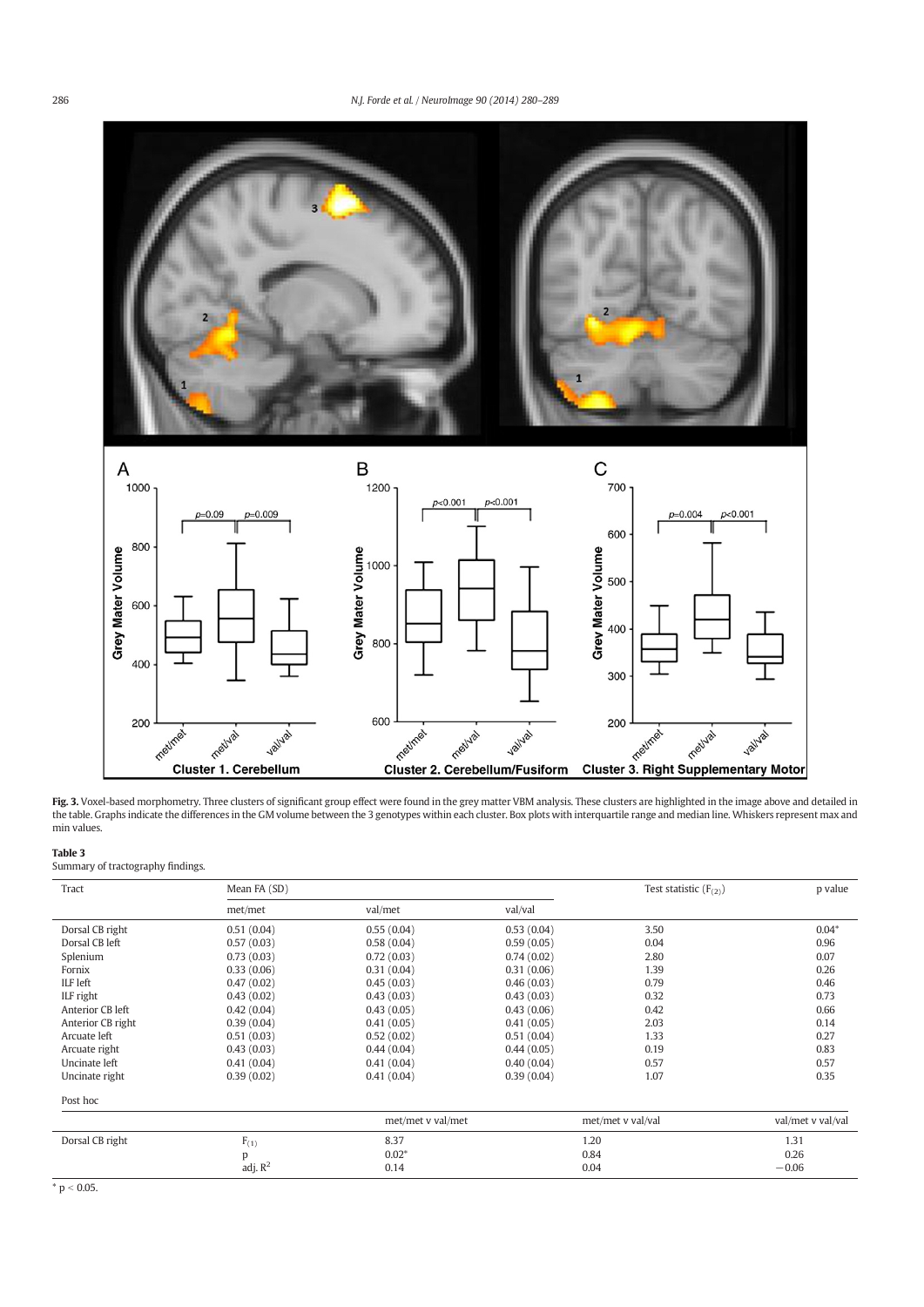

Fig. 3. Voxel-based morphometry. Three clusters of significant group effect were found in the grey matter VBM analysis. These clusters are highlighted in the image above and detailed in the table. Graphs indicate the differences in the GM volume between the 3 genotypes within each cluster. Box plots with interquartile range and median line. Whiskers represent max and min values.

#### Table 3

Summary of tractography findings.

| Tract             | Mean FA (SD) |                   |            | Test statistic $(F_{(2)})$ | p value           |
|-------------------|--------------|-------------------|------------|----------------------------|-------------------|
|                   | met/met      | val/met           | val/val    |                            |                   |
| Dorsal CB right   | 0.51(0.04)   | 0.55(0.04)        | 0.53(0.04) | 3.50                       | $0.04*$           |
| Dorsal CB left    | 0.57(0.03)   | 0.58(0.04)        | 0.59(0.05) | 0.04                       | 0.96              |
| Splenium          | 0.73(0.03)   | 0.72(0.03)        | 0.74(0.02) | 2.80                       | 0.07              |
| Fornix            | 0.33(0.06)   | 0.31(0.04)        | 0.31(0.06) | 1.39                       | 0.26              |
| ILF left          | 0.47(0.02)   | 0.45(0.03)        | 0.46(0.03) | 0.79                       | 0.46              |
| ILF right         | 0.43(0.02)   | 0.43(0.03)        | 0.43(0.03) | 0.32                       | 0.73              |
| Anterior CB left  | 0.42(0.04)   | 0.43(0.05)        | 0.43(0.06) | 0.42                       | 0.66              |
| Anterior CB right | 0.39(0.04)   | 0.41(0.05)        | 0.41(0.05) | 2.03                       | 0.14              |
| Arcuate left      | 0.51(0.03)   | 0.52(0.02)        | 0.51(0.04) | 1.33                       | 0.27              |
| Arcuate right     | 0.43(0.03)   | 0.44(0.04)        | 0.44(0.05) | 0.19                       | 0.83              |
| Uncinate left     | 0.41(0.04)   | 0.41(0.04)        | 0.40(0.04) | 0.57                       | 0.57              |
| Uncinate right    | 0.39(0.02)   | 0.41(0.04)        | 0.39(0.04) | 1.07                       | 0.35              |
| Post hoc          |              |                   |            |                            |                   |
|                   |              | met/met v val/met |            | met/met v val/val          | val/met v val/val |
| Dorsal CB right   | $F_{(1)}$    | 8.37              |            | 1.20                       | 1.31              |
|                   | p            | $0.02*$           |            | 0.84                       | 0.26              |
|                   | adj. $R^2$   | 0.14              | 0.04       |                            | $-0.06$           |
| .                 |              |                   |            |                            |                   |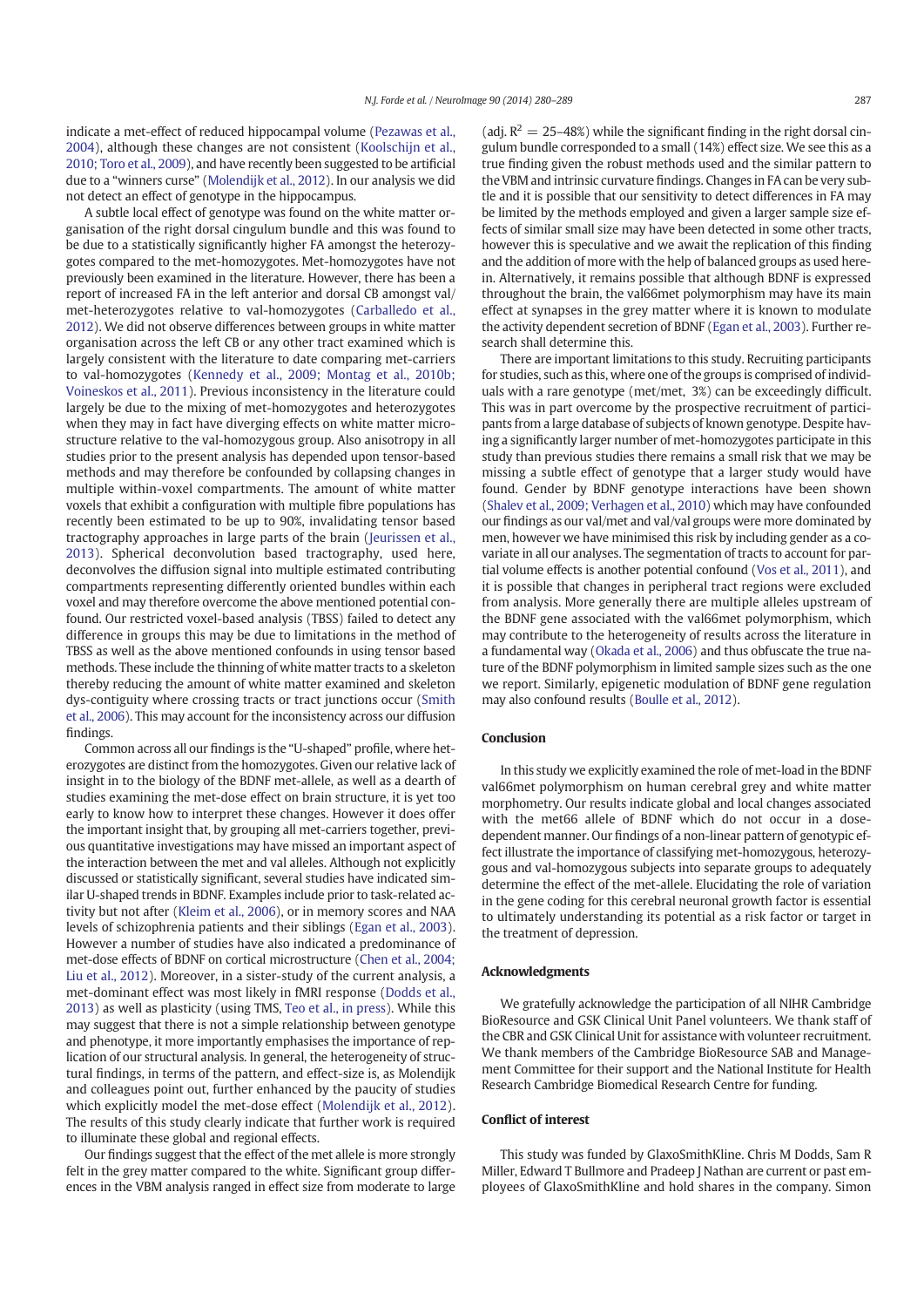indicate a met-effect of reduced hippocampal volume (Pezawas et al., 2004), although these changes are not consistent (Koolschijn et al., 2010; Toro et al., 2009), and have recently been suggested to be artificial due to a "winners curse" (Molendijk et al., 2012). In our analysis we did not detect an effect of genotype in the hippocampus.

A subtle local effect of genotype was found on the white matter organisation of the right dorsal cingulum bundle and this was found to be due to a statistically significantly higher FA amongst the heterozygotes compared to the met-homozygotes. Met-homozygotes have not previously been examined in the literature. However, there has been a report of increased FA in the left anterior and dorsal CB amongst val/ met-heterozygotes relative to val-homozygotes (Carballedo et al., 2012). We did not observe differences between groups in white matter organisation across the left CB or any other tract examined which is largely consistent with the literature to date comparing met-carriers to val-homozygotes (Kennedy et al., 2009; Montag et al., 2010b; Voineskos et al., 2011). Previous inconsistency in the literature could largely be due to the mixing of met-homozygotes and heterozygotes when they may in fact have diverging effects on white matter microstructure relative to the val-homozygous group. Also anisotropy in all studies prior to the present analysis has depended upon tensor-based methods and may therefore be confounded by collapsing changes in multiple within-voxel compartments. The amount of white matter voxels that exhibit a configuration with multiple fibre populations has recently been estimated to be up to 90%, invalidating tensor based tractography approaches in large parts of the brain (Jeurissen et al., 2013). Spherical deconvolution based tractography, used here, deconvolves the diffusion signal into multiple estimated contributing compartments representing differently oriented bundles within each voxel and may therefore overcome the above mentioned potential confound. Our restricted voxel-based analysis (TBSS) failed to detect any difference in groups this may be due to limitations in the method of TBSS as well as the above mentioned confounds in using tensor based methods. These include the thinning of white matter tracts to a skeleton thereby reducing the amount of white matter examined and skeleton dys-contiguity where crossing tracts or tract junctions occur (Smith et al., 2006). This may account for the inconsistency across our diffusion findings.

Common across all our findings is the "U-shaped" profile, where heterozygotes are distinct from the homozygotes. Given our relative lack of insight in to the biology of the BDNF met-allele, as well as a dearth of studies examining the met-dose effect on brain structure, it is yet too early to know how to interpret these changes. However it does offer the important insight that, by grouping all met-carriers together, previous quantitative investigations may have missed an important aspect of the interaction between the met and val alleles. Although not explicitly discussed or statistically significant, several studies have indicated similar U-shaped trends in BDNF. Examples include prior to task-related activity but not after (Kleim et al., 2006), or in memory scores and NAA levels of schizophrenia patients and their siblings (Egan et al., 2003). However a number of studies have also indicated a predominance of met-dose effects of BDNF on cortical microstructure (Chen et al., 2004; Liu et al., 2012). Moreover, in a sister-study of the current analysis, a met-dominant effect was most likely in fMRI response (Dodds et al., 2013) as well as plasticity (using TMS, Teo et al., in press). While this may suggest that there is not a simple relationship between genotype and phenotype, it more importantly emphasises the importance of replication of our structural analysis. In general, the heterogeneity of structural findings, in terms of the pattern, and effect-size is, as Molendijk and colleagues point out, further enhanced by the paucity of studies which explicitly model the met-dose effect (Molendijk et al., 2012). The results of this study clearly indicate that further work is required to illuminate these global and regional effects.

Our findings suggest that the effect of the met allele is more strongly felt in the grey matter compared to the white. Significant group differences in the VBM analysis ranged in effect size from moderate to large (adj.  $R^2 = 25-48\%)$  while the significant finding in the right dorsal cingulum bundle corresponded to a small (14%) effect size. We see this as a true finding given the robust methods used and the similar pattern to the VBM and intrinsic curvature findings. Changes in FA can be very subtle and it is possible that our sensitivity to detect differences in FA may be limited by the methods employed and given a larger sample size effects of similar small size may have been detected in some other tracts, however this is speculative and we await the replication of this finding and the addition of more with the help of balanced groups as used herein. Alternatively, it remains possible that although BDNF is expressed throughout the brain, the val66met polymorphism may have its main effect at synapses in the grey matter where it is known to modulate the activity dependent secretion of BDNF (Egan et al., 2003). Further research shall determine this.

There are important limitations to this study. Recruiting participants for studies, such as this, where one of the groups is comprised of individuals with a rare genotype (met/met, 3%) can be exceedingly difficult. This was in part overcome by the prospective recruitment of participants from a large database of subjects of known genotype. Despite having a significantly larger number of met-homozygotes participate in this study than previous studies there remains a small risk that we may be missing a subtle effect of genotype that a larger study would have found. Gender by BDNF genotype interactions have been shown (Shalev et al., 2009; Verhagen et al., 2010) which may have confounded our findings as our val/met and val/val groups were more dominated by men, however we have minimised this risk by including gender as a covariate in all our analyses. The segmentation of tracts to account for partial volume effects is another potential confound (Vos et al., 2011), and it is possible that changes in peripheral tract regions were excluded from analysis. More generally there are multiple alleles upstream of the BDNF gene associated with the val66met polymorphism, which may contribute to the heterogeneity of results across the literature in a fundamental way (Okada et al., 2006) and thus obfuscate the true nature of the BDNF polymorphism in limited sample sizes such as the one we report. Similarly, epigenetic modulation of BDNF gene regulation may also confound results (Boulle et al., 2012).

#### Conclusion

In this study we explicitly examined the role of met-load in the BDNF val66met polymorphism on human cerebral grey and white matter morphometry. Our results indicate global and local changes associated with the met66 allele of BDNF which do not occur in a dosedependent manner. Our findings of a non-linear pattern of genotypic effect illustrate the importance of classifying met-homozygous, heterozygous and val-homozygous subjects into separate groups to adequately determine the effect of the met-allele. Elucidating the role of variation in the gene coding for this cerebral neuronal growth factor is essential to ultimately understanding its potential as a risk factor or target in the treatment of depression.

#### Acknowledgments

We gratefully acknowledge the participation of all NIHR Cambridge BioResource and GSK Clinical Unit Panel volunteers. We thank staff of the CBR and GSK Clinical Unit for assistance with volunteer recruitment. We thank members of the Cambridge BioResource SAB and Management Committee for their support and the National Institute for Health Research Cambridge Biomedical Research Centre for funding.

#### Conflict of interest

This study was funded by GlaxoSmithKline. Chris M Dodds, Sam R Miller, Edward T Bullmore and Pradeep J Nathan are current or past employees of GlaxoSmithKline and hold shares in the company. Simon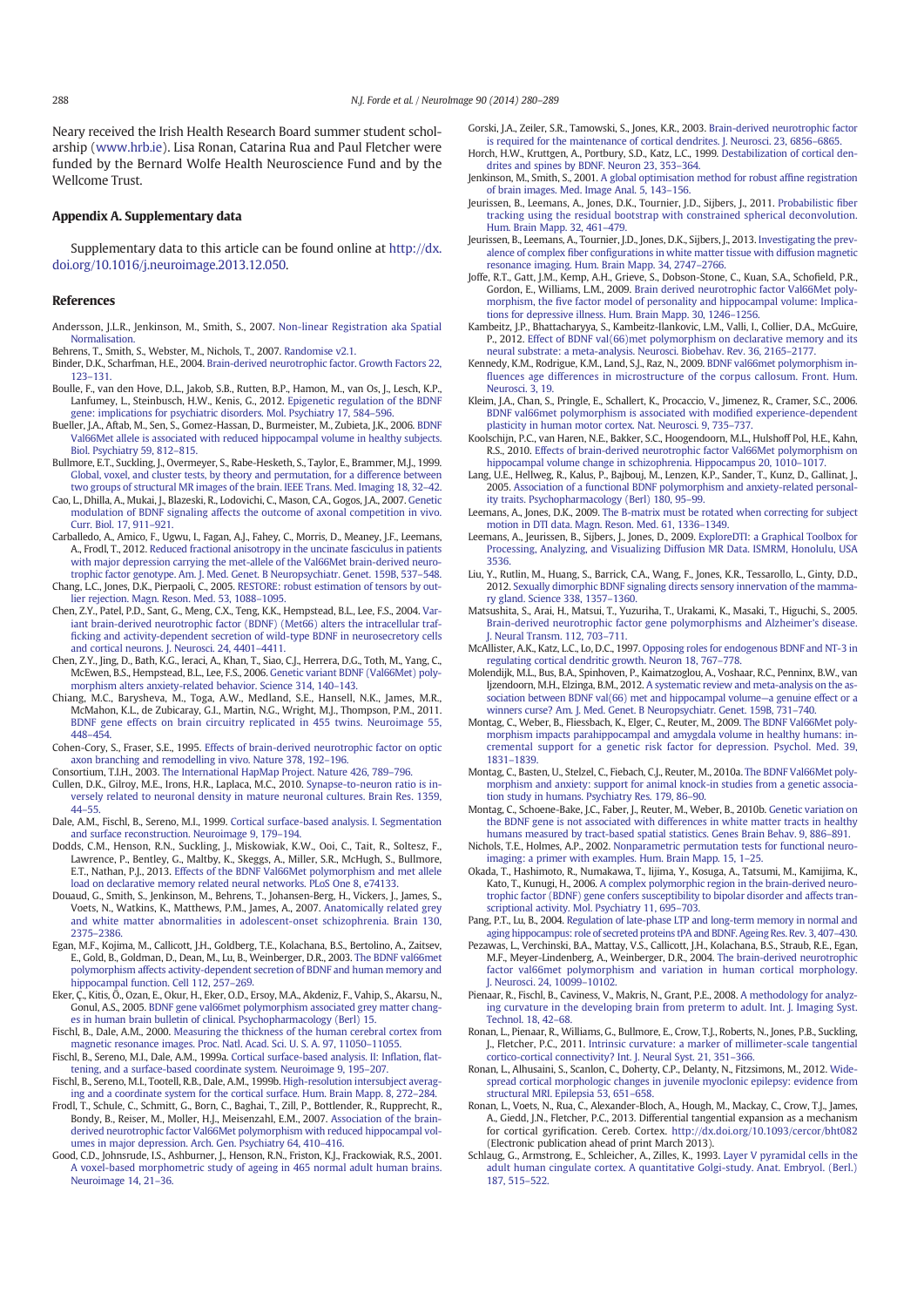Neary received the Irish Health Research Board summer student scholarship (www.hrb.ie). Lisa Ronan, Catarina Rua and Paul Fletcher were funded by the Bernard Wolfe Health Neuroscience Fund and by the Wellcome Trust.

#### Appendix A. Supplementary data

Supplementary data to this article can be found online at http://dx. doi.org/10.1016/j.neuroimage.2013.12.050.

#### References

- Andersson, J.L.R., Jenkinson, M., Smith, S., 2007. Non-linear Registration aka Spatial **Normalisation**
- Behrens, T., Smith, S., Webster, M., Nichols, T., 2007. Randomise v2.1.
- Binder, D.K., Scharfman, H.E., 2004. Brain-derived neurotrophic factor. Growth Factors 22, 123–131.
- Boulle, F., van den Hove, D.L., Jakob, S.B., Rutten, B.P., Hamon, M., van Os, J., Lesch, K.P., Lanfumey, L., Steinbusch, H.W., Kenis, G., 2012. Epigenetic regulation of the BDNF gene: implications for psychiatric disorders. Mol. Psychiatry 17, 584–596.
- Bueller, J.A., Aftab, M., Sen, S., Gomez-Hassan, D., Burmeister, M., Zubieta, J.K., 2006. BDNF Val66Met allele is associated with reduced hippocampal volume in healthy subjects. Biol. Psychiatry 59, 812–815.
- Bullmore, E.T., Suckling, J., Overmeyer, S., Rabe-Hesketh, S., Taylor, E., Brammer, M.J., 1999. Global, voxel, and cluster tests, by theory and permutation, for a difference between two groups of structural MR images of the brain. IEEE Trans. Med. Imaging 18, 32–42.
- Cao, L., Dhilla, A., Mukai, J., Blazeski, R., Lodovichi, C., Mason, C.A., Gogos, J.A., 2007. Genetic modulation of BDNF signaling affects the outcome of axonal competition in vivo. Curr. Biol. 17, 911–921.
- Carballedo, A., Amico, F., Ugwu, I., Fagan, A.J., Fahey, C., Morris, D., Meaney, J.F., Leemans, A., Frodl, T., 2012. Reduced fractional anisotropy in the uncinate fasciculus in patients with major depression carrying the met-allele of the Val66Met brain-derived neurotrophic factor genotype. Am. J. Med. Genet. B Neuropsychiatr. Genet. 159B, 537–548.
- Chang, L.C., Jones, D.K., Pierpaoli, C., 2005. RESTORE: robust estimation of tensors by out-
- lier rejection. Magn. Reson. Med. 53, 1088–1095. Chen, Z.Y., Patel, P.D., Sant, G., Meng, C.X., Teng, K.K., Hempstead, B.L., Lee, F.S., 2004. Variant brain-derived neurotrophic factor (BDNF) (Met66) alters the intracellular trafficking and activity-dependent secretion of wild-type BDNF in neurosecretory cells and cortical neurons. J. Neurosci. 24, 4401–4411.
- Chen, Z.Y., Jing, D., Bath, K.G., Ieraci, A., Khan, T., Siao, C.J., Herrera, D.G., Toth, M., Yang, C., McEwen, B.S., Hempstead, B.L., Lee, F.S., 2006. Genetic variant BDNF (Val66Met) poly-morphism alters anxiety-related behavior. Science 314, 140–143.
- Chiang, M.C., Barysheva, M., Toga, A.W., Medland, S.E., Hansell, N.K., James, M.R., McMahon, K.L., de Zubicaray, G.I., Martin, N.G., Wright, M.J., Thompson, P.M., 2011. BDNF gene effects on brain circuitry replicated in 455 twins. Neuroimage 55, 448–454.
- Cohen-Cory, S., Fraser, S.E., 1995. Effects of brain-derived neurotrophic factor on optic
- axon branching and remodelling in vivo. Nature 378, 192–196.<br>Consortium, T.I.H., 2003. The International HapMap Project. Nature 426, 789–796.<br>Cullen, D.K., Gilroy, M.E., Irons, H.R., Laplaca, M.C., 2010. Synapse-to-neuron
- versely related to neuronal density in mature neuronal cultures. Brain Res. 1359, 44–55.
- Dale, A.M., Fischl, B., Sereno, M.I., 1999. Cortical surface-based analysis. I. Segmentation and surface reconstruction. Neuroimage 9, 179–194.
- Dodds, C.M., Henson, R.N., Suckling, J., Miskowiak, K.W., Ooi, C., Tait, R., Soltesz, F., Lawrence, P., Bentley, G., Maltby, K., Skeggs, A., Miller, S.R., McHugh, S., Bullmore, E.T., Nathan, P.J., 2013. Effects of the BDNF Val66Met polymorphism and met allele load on declarative memory related neural networks. PLoS One 8, e74133.
- Douaud, G., Smith, S., Jenkinson, M., Behrens, T., Johansen-Berg, H., Vickers, J., James, S., Voets, N., Watkins, K., Matthews, P.M., James, A., 2007. Anatomically related grey and white matter abnormalities in adolescent-onset schizophrenia. Brain 130, 2375–2386.
- Egan, M.F., Kojima, M., Callicott, J.H., Goldberg, T.E., Kolachana, B.S., Bertolino, A., Zaitsev, E., Gold, B., Goldman, D., Dean, M., Lu, B., Weinberger, D.R., 2003. The BDNF val66met polymorphism affects activity-dependent secretion of BDNF and human memory and hippocampal function. Cell 112, 257–269.
- Eker, Ç., Kitis, Ö., Ozan, E., Okur, H., Eker, O.D., Ersoy, M.A., Akdeniz, F., Vahip, S., Akarsu, N., Gonul, A.S., 2005. BDNF gene val66met polymorphism associated grey matter changes in human brain bulletin of clinical. Psychopharmacology (Berl) 15.
- Fischl, B., Dale, A.M., 2000. Measuring the thickness of the human cerebral cortex from magnetic resonance images. Proc. Natl. Acad. Sci. U. S. A. 97, 11050–11055.
- Fischl, B., Sereno, M.I., Dale, A.M., 1999a. Cortical surface-based analysis. II: Inflation, flattening, and a surface-based coordinate system. Neuroimage 9, 195–207. Fischl, B., Sereno, M.I., Tootell, R.B., Dale, A.M., 1999b. High-resolution intersubject averag-
- ing and a coordinate system for the cortical surface. Hum. Brain Mapp. 8, 272–284.
- Frodl, T., Schule, C., Schmitt, G., Born, C., Baghai, T., Zill, P., Bottlender, R., Rupprecht, R., Bondy, B., Reiser, M., Moller, H.J., Meisenzahl, E.M., 2007. Association of the brainderived neurotrophic factor Val66Met polymorphism with reduced hippocampal volumes in major depression. Arch. Gen. Psychiatry 64, 410–416. Good, C.D., Johnsrude, I.S., Ashburner, J., Henson, R.N., Friston, K.J., Frackowiak, R.S., 2001.
- A voxel-based morphometric study of ageing in 465 normal adult human brains. Neuroimage 14, 21–36.
- Gorski, J.A., Zeiler, S.R., Tamowski, S., Jones, K.R., 2003. Brain-derived neurotrophic factor is required for the maintenance of cortical dendrites. J. Neurosci. 23, 6856–6865.
- Horch, H.W., Kruttgen, A., Portbury, S.D., Katz, L.C., 1999. Destabilization of cortical dendrites and spines by BDNF. Neuron 23, 353–364. Jenkinson, M., Smith, S., 2001. A global optimisation method for robust affine registration
- of brain images. Med. Image Anal. 5, 143–156. Jeurissen, B., Leemans, A., Jones, D.K., Tournier, J.D., Sijbers, J., 2011. Probabilistic fiber
- tracking using the residual bootstrap with constrained spherical deconvolution. Hum. Brain Mapp. 32, 461–479.
- Jeurissen, B., Leemans, A., Tournier, J.D., Jones, D.K., Sijbers, J., 2013. Investigating the prevalence of complex fiber configurations in white matter tissue with diffusion magnetic resonance imaging. Hum. Brain Mapp. 34, 2747–2766.
- Joffe, R.T., Gatt, J.M., Kemp, A.H., Grieve, S., Dobson-Stone, C., Kuan, S.A., Schofield, P.R., Gordon, E., Williams, L.M., 2009. Brain derived neurotrophic factor Val66Met polymorphism, the five factor model of personality and hippocampal volume: Implications for depressive illness. Hum. Brain Mapp. 30, 1246–1256.
- Kambeitz, J.P., Bhattacharyya, S., Kambeitz-Ilankovic, L.M., Valli, I., Collier, D.A., McGuire, P., 2012. Effect of BDNF val(66)met polymorphism on declarative memory and its neural substrate: a meta-analysis. Neurosci. Biobehav. Rev. 36, 2165–2177.
- Kennedy, K.M., Rodrigue, K.M., Land, S.J., Raz, N., 2009. BDNF val66met polymorphism influences age differences in microstructure of the corpus callosum. Front. Hum. Neurosci. 3, 19.
- Kleim, J.A., Chan, S., Pringle, E., Schallert, K., Procaccio, V., Jimenez, R., Cramer, S.C., 2006. BDNF val66met polymorphism is associated with modified experience-dependent plasticity in human motor cortex. Nat. Neurosci. 9, 735–737.
- Koolschijn, P.C., van Haren, N.E., Bakker, S.C., Hoogendoorn, M.L., Hulshoff Pol, H.E., Kahn, R.S., 2010. Effects of brain-derived neurotrophic factor Val66Met polymorphism on hippocampal volume change in schizophrenia. Hippocampus 20, 1010–1017.
- Lang, U.E., Hellweg, R., Kalus, P., Bajbouj, M., Lenzen, K.P., Sander, T., Kunz, D., Gallinat, J., 2005. Association of a functional BDNF polymorphism and anxiety-related personality traits. Psychopharmacology (Berl) 180, 95–99.
- Leemans, A., Jones, D.K., 2009. The B-matrix must be rotated when correcting for subject motion in DTI data. Magn. Reson. Med. 61, 1336–1349.
- Leemans, A., Jeurissen, B., Sijbers, J., Jones, D., 2009. ExploreDTI: a Graphical Toolbox for Processing, Analyzing, and Visualizing Diffusion MR Data. ISMRM, Honolulu, USA 3536.
- Liu, Y., Rutlin, M., Huang, S., Barrick, C.A., Wang, F., Jones, K.R., Tessarollo, L., Ginty, D.D., 2012. Sexually dimorphic BDNF signaling directs sensory innervation of the mammary gland. Science 338, 1357–1360.
- Matsushita, S., Arai, H., Matsui, T., Yuzuriha, T., Urakami, K., Masaki, T., Higuchi, S., 2005. Brain-derived neurotrophic factor gene polymorphisms and Alzheimer's disease. J. Neural Transm. 112, 703–711.
- McAllister, A.K., Katz, L.C., Lo, D.C., 1997. Opposing roles for endogenous BDNF and NT-3 in regulating cortical dendritic growth. Neuron 18, 767–778.
- Molendijk, M.L., Bus, B.A., Spinhoven, P., Kaimatzoglou, A., Voshaar, R.C., Penninx, B.W., van Ijzendoorn, M.H., Elzinga, B.M., 2012. A systematic review and meta-analysis on the association between BDNF val(66) met and hippocampal volume—a genuine effect or a winners curse? Am. J. Med. Genet. B Neuropsychiatr. Genet. 159B, 731–740.
- Montag, C., Weber, B., Fliessbach, K., Elger, C., Reuter, M., 2009. The BDNF Val66Met polymorphism impacts parahippocampal and amygdala volume in healthy humans: incremental support for a genetic risk factor for depression. Psychol. Med. 39, 1831–1839.
- Montag, C., Basten, U., Stelzel, C., Fiebach, C.J., Reuter, M., 2010a. The BDNF Val66Met polymorphism and anxiety: support for animal knock-in studies from a genetic association study in humans. Psychiatry Res. 179, 86–90.
- Montag, C., Schoene-Bake, J.C., Faber, J., Reuter, M., Weber, B., 2010b. Genetic variation on the BDNF gene is not associated with differences in white matter tracts in healthy humans measured by tract-based spatial statistics. Genes Brain Behav. 9, 886–891.
- Nichols, T.E., Holmes, A.P., 2002. Nonparametric permutation tests for functional neuroimaging: a primer with examples. Hum. Brain Mapp. 15, 1–25.
- Okada, T., Hashimoto, R., Numakawa, T., Iijima, Y., Kosuga, A., Tatsumi, M., Kamijima, K., Kato, T., Kunugi, H., 2006. A complex polymorphic region in the brain-derived neurotrophic factor (BDNF) gene confers susceptibility to bipolar disorder and affects transcriptional activity. Mol. Psychiatry 11, 695–703.
- Pang, P.T., Lu, B., 2004. Regulation of late-phase LTP and long-term memory in normal and aging hippocampus: role of secreted proteins tPA and BDNF. Ageing Res. Rev. 3, 407–430.
- Pezawas, L., Verchinski, B.A., Mattay, V.S., Callicott, J.H., Kolachana, B.S., Straub, R.E., Egan, M.F., Meyer-Lindenberg, A., Weinberger, D.R., 2004. The brain-derived neurotrophic factor val66met polymorphism and variation in human cortical morphology. J. Neurosci. 24, 10099–10102.
- Pienaar, R., Fischl, B., Caviness, V., Makris, N., Grant, P.E., 2008. A methodology for analyzing curvature in the developing brain from preterm to adult. Int. J. Imaging Syst. Technol. 18, 42–68.
- Ronan, L., Pienaar, R., Williams, G., Bullmore, E., Crow, T.J., Roberts, N., Jones, P.B., Suckling, J., Fletcher, P.C., 2011. Intrinsic curvature: a marker of millimeter-scale tangential
- cortico-cortical connectivity? Int. J. Neural Syst. 21, 351–366. Ronan, L., Alhusaini, S., Scanlon, C., Doherty, C.P., Delanty, N., Fitzsimons, M., 2012. Widespread cortical morphologic changes in juvenile myoclonic epilepsy: evidence from structural MRI. Epilepsia 53, 651–658.
- Ronan, L., Voets, N., Rua, C., Alexander-Bloch, A., Hough, M., Mackay, C., Crow, T.J., James, A., Giedd, J.N., Fletcher, P.C., 2013. Differential tangential expansion as a mechanism for cortical gyrification. Cereb. Cortex. http://dx.doi.org/10.1093/cercor/bht082 (Electronic publication ahead of print March 2013). Schlaug, G., Armstrong, E., Schleicher, A., Zilles, K., 1993. Layer V pyramidal cells in the
- adult human cingulate cortex. A quantitative Golgi-study. Anat. Embryol. (Berl.) 187, 515–522.